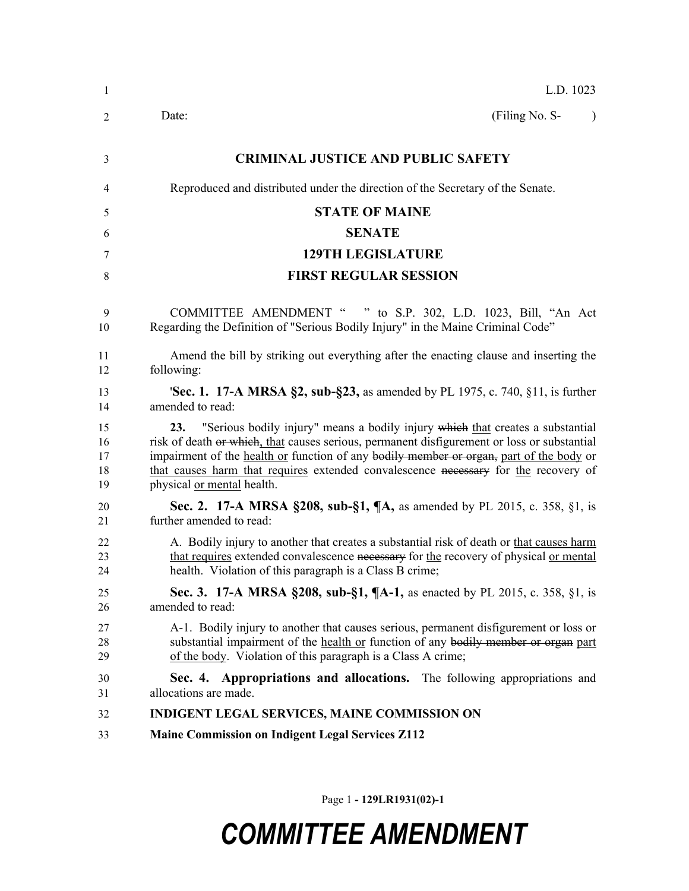| 1                          | L.D. 1023                                                                                                                                                                                                                                                                                                                                                                                         |  |  |  |
|----------------------------|---------------------------------------------------------------------------------------------------------------------------------------------------------------------------------------------------------------------------------------------------------------------------------------------------------------------------------------------------------------------------------------------------|--|--|--|
| 2                          | (Filing No. S-<br>Date:                                                                                                                                                                                                                                                                                                                                                                           |  |  |  |
| 3                          | <b>CRIMINAL JUSTICE AND PUBLIC SAFETY</b>                                                                                                                                                                                                                                                                                                                                                         |  |  |  |
| 4                          | Reproduced and distributed under the direction of the Secretary of the Senate.                                                                                                                                                                                                                                                                                                                    |  |  |  |
| 5                          | <b>STATE OF MAINE</b>                                                                                                                                                                                                                                                                                                                                                                             |  |  |  |
| 6                          | <b>SENATE</b>                                                                                                                                                                                                                                                                                                                                                                                     |  |  |  |
| 7                          | <b>129TH LEGISLATURE</b>                                                                                                                                                                                                                                                                                                                                                                          |  |  |  |
| 8                          | <b>FIRST REGULAR SESSION</b>                                                                                                                                                                                                                                                                                                                                                                      |  |  |  |
| 9<br>10                    | COMMITTEE AMENDMENT " " to S.P. 302, L.D. 1023, Bill, "An Act<br>Regarding the Definition of "Serious Bodily Injury" in the Maine Criminal Code"                                                                                                                                                                                                                                                  |  |  |  |
| 11<br>12                   | Amend the bill by striking out everything after the enacting clause and inserting the<br>following:                                                                                                                                                                                                                                                                                               |  |  |  |
| 13<br>14                   | 'Sec. 1. 17-A MRSA §2, sub-§23, as amended by PL 1975, c. 740, §11, is further<br>amended to read:                                                                                                                                                                                                                                                                                                |  |  |  |
| 15<br>16<br>17<br>18<br>19 | 23. "Serious bodily injury" means a bodily injury which that creates a substantial<br>risk of death or which, that causes serious, permanent disfigurement or loss or substantial<br>impairment of the health or function of any bodily member or organ, part of the body or<br>that causes harm that requires extended convalescence necessary for the recovery of<br>physical or mental health. |  |  |  |
| 20<br>21                   | <b>Sec. 2. 17-A MRSA §208, sub-§1, <math>\P</math>A</b> , as amended by PL 2015, c. 358, §1, is<br>further amended to read:                                                                                                                                                                                                                                                                       |  |  |  |
| 22<br>23<br>24             | A. Bodily injury to another that creates a substantial risk of death or that causes harm<br>that requires extended convalescence necessary for the recovery of physical or mental<br>health. Violation of this paragraph is a Class B crime;                                                                                                                                                      |  |  |  |
| 25<br>26                   | Sec. 3. 17-A MRSA §208, sub-§1, ¶A-1, as enacted by PL 2015, c. 358, §1, is<br>amended to read:                                                                                                                                                                                                                                                                                                   |  |  |  |
| 27<br>28<br>29             | A-1. Bodily injury to another that causes serious, permanent disfigurement or loss or<br>substantial impairment of the health or function of any bodily member or organ part<br>of the body. Violation of this paragraph is a Class A crime;                                                                                                                                                      |  |  |  |
| 30<br>31                   | Sec. 4. Appropriations and allocations. The following appropriations and<br>allocations are made.                                                                                                                                                                                                                                                                                                 |  |  |  |
| 32                         | INDIGENT LEGAL SERVICES, MAINE COMMISSION ON                                                                                                                                                                                                                                                                                                                                                      |  |  |  |
| 33                         | <b>Maine Commission on Indigent Legal Services Z112</b>                                                                                                                                                                                                                                                                                                                                           |  |  |  |

Page 1 **- 129LR1931(02)-1**

## *COMMITTEE AMENDMENT*